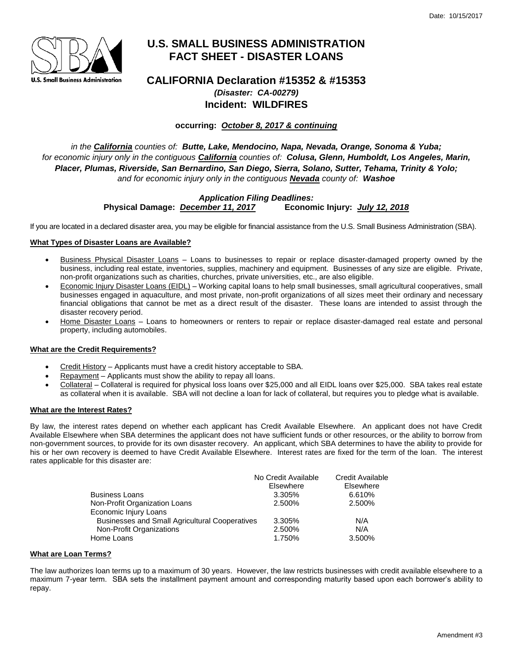

# **U.S. SMALL BUSINESS ADMINISTRATION FACT SHEET - DISASTER LOANS**

## **CALIFORNIA Declaration #15352 & #15353** *(Disaster: CA-00279)* **Incident: WILDFIRES**

**occurring:** *October 8, 2017 & continuing*

*in the California counties of: Butte, Lake, Mendocino, Napa, Nevada, Orange, Sonoma & Yuba; for economic injury only in the contiguous California counties of: Colusa, Glenn, Humboldt, Los Angeles, Marin, Placer, Plumas, Riverside, San Bernardino, San Diego, Sierra, Solano, Sutter, Tehama, Trinity & Yolo; and for economic injury only in the contiguous Nevada county of: Washoe*

## *Application Filing Deadlines:* **Physical Damage:** *December 11, 2017* **Economic Injury:** *July 12, 2018*

If you are located in a declared disaster area, you may be eligible for financial assistance from the U.S. Small Business Administration (SBA).

## **What Types of Disaster Loans are Available?**

- Business Physical Disaster Loans Loans to businesses to repair or replace disaster-damaged property owned by the business, including real estate, inventories, supplies, machinery and equipment. Businesses of any size are eligible. Private, non-profit organizations such as charities, churches, private universities, etc., are also eligible.
- Economic Injury Disaster Loans (EIDL) Working capital loans to help small businesses, small agricultural cooperatives, small businesses engaged in aquaculture, and most private, non-profit organizations of all sizes meet their ordinary and necessary financial obligations that cannot be met as a direct result of the disaster. These loans are intended to assist through the disaster recovery period.
- Home Disaster Loans Loans to homeowners or renters to repair or replace disaster-damaged real estate and personal property, including automobiles.

## **What are the Credit Requirements?**

- Credit History Applicants must have a credit history acceptable to SBA.
- Repayment Applicants must show the ability to repay all loans.
- Collateral Collateral is required for physical loss loans over \$25,000 and all EIDL loans over \$25,000. SBA takes real estate as collateral when it is available. SBA will not decline a loan for lack of collateral, but requires you to pledge what is available.

## **What are the Interest Rates?**

By law, the interest rates depend on whether each applicant has Credit Available Elsewhere. An applicant does not have Credit Available Elsewhere when SBA determines the applicant does not have sufficient funds or other resources, or the ability to borrow from non-government sources, to provide for its own disaster recovery. An applicant, which SBA determines to have the ability to provide for his or her own recovery is deemed to have Credit Available Elsewhere. Interest rates are fixed for the term of the loan. The interest rates applicable for this disaster are:

|                                                       | No Credit Available | Credit Available |
|-------------------------------------------------------|---------------------|------------------|
|                                                       | Elsewhere           | Elsewhere        |
| Business Loans                                        | 3.305%              | 6.610%           |
| Non-Profit Organization Loans                         | 2.500%              | 2.500%           |
| Economic Injury Loans                                 |                     |                  |
| <b>Businesses and Small Agricultural Cooperatives</b> | 3.305%              | N/A              |
| Non-Profit Organizations                              | 2.500%              | N/A              |
| Home Loans                                            | 1.750%              | 3.500%           |

## **What are Loan Terms?**

The law authorizes loan terms up to a maximum of 30 years. However, the law restricts businesses with credit available elsewhere to a maximum 7-year term. SBA sets the installment payment amount and corresponding maturity based upon each borrower's ability to repay.